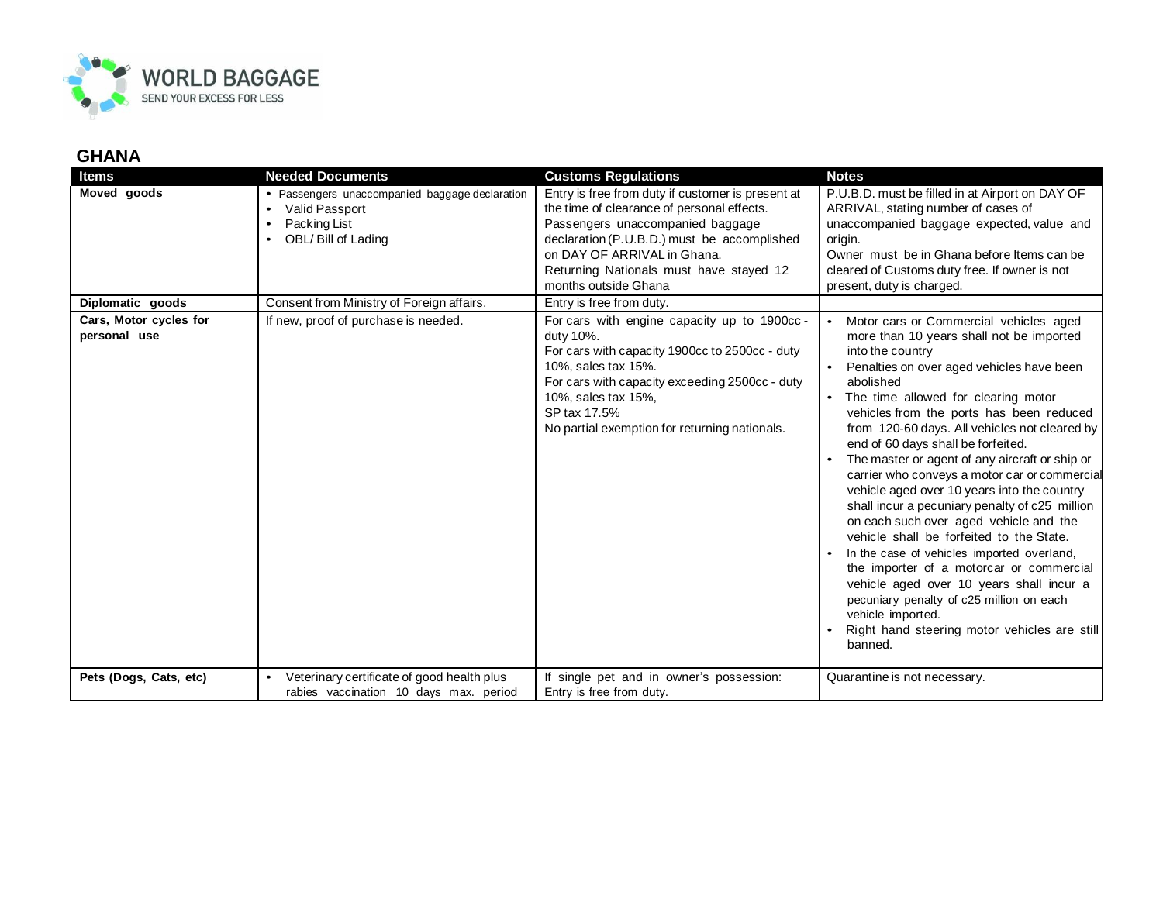

## **GHANA**

| <b>Items</b>                           | <b>Needed Documents</b>                                                                                 | <b>Customs Regulations</b>                                                                                                                                                                                                                                                           | <b>Notes</b>                                                                                                                                                                                                                                                                                                                                                                                                                                                                                                                                                                                                                                                                                                                                                                                                                                                                                             |
|----------------------------------------|---------------------------------------------------------------------------------------------------------|--------------------------------------------------------------------------------------------------------------------------------------------------------------------------------------------------------------------------------------------------------------------------------------|----------------------------------------------------------------------------------------------------------------------------------------------------------------------------------------------------------------------------------------------------------------------------------------------------------------------------------------------------------------------------------------------------------------------------------------------------------------------------------------------------------------------------------------------------------------------------------------------------------------------------------------------------------------------------------------------------------------------------------------------------------------------------------------------------------------------------------------------------------------------------------------------------------|
| Moved goods                            | • Passengers unaccompanied baggage declaration<br>Valid Passport<br>Packing List<br>OBL/ Bill of Lading | Entry is free from duty if customer is present at<br>the time of clearance of personal effects.<br>Passengers unaccompanied baggage<br>declaration (P.U.B.D.) must be accomplished<br>on DAY OF ARRIVAL in Ghana.<br>Returning Nationals must have stayed 12<br>months outside Ghana | P.U.B.D. must be filled in at Airport on DAY OF<br>ARRIVAL, stating number of cases of<br>unaccompanied baggage expected, value and<br>origin.<br>Owner must be in Ghana before Items can be<br>cleared of Customs duty free. If owner is not<br>present, duty is charged.                                                                                                                                                                                                                                                                                                                                                                                                                                                                                                                                                                                                                               |
| Diplomatic goods                       | Consent from Ministry of Foreign affairs.                                                               | Entry is free from duty.                                                                                                                                                                                                                                                             |                                                                                                                                                                                                                                                                                                                                                                                                                                                                                                                                                                                                                                                                                                                                                                                                                                                                                                          |
| Cars, Motor cycles for<br>personal use | If new, proof of purchase is needed.                                                                    | For cars with engine capacity up to 1900cc-<br>duty 10%.<br>For cars with capacity 1900cc to 2500cc - duty<br>10%, sales tax 15%.<br>For cars with capacity exceeding 2500cc - duty<br>10%, sales tax 15%,<br>SP tax 17.5%<br>No partial exemption for returning nationals.          | Motor cars or Commercial vehicles aged<br>more than 10 years shall not be imported<br>into the country<br>Penalties on over aged vehicles have been<br>abolished<br>• The time allowed for clearing motor<br>vehicles from the ports has been reduced<br>from 120-60 days. All vehicles not cleared by<br>end of 60 days shall be forfeited.<br>The master or agent of any aircraft or ship or<br>carrier who conveys a motor car or commercial<br>vehicle aged over 10 years into the country<br>shall incur a pecuniary penalty of c25 million<br>on each such over aged vehicle and the<br>vehicle shall be forfeited to the State.<br>In the case of vehicles imported overland,<br>the importer of a motorcar or commercial<br>vehicle aged over 10 years shall incur a<br>pecuniary penalty of c25 million on each<br>vehicle imported.<br>Right hand steering motor vehicles are still<br>banned. |
| Pets (Dogs, Cats, etc)                 | Veterinary certificate of good health plus<br>rabies vaccination 10 days max. period                    | If single pet and in owner's possession:<br>Entry is free from duty.                                                                                                                                                                                                                 | Quarantine is not necessary.                                                                                                                                                                                                                                                                                                                                                                                                                                                                                                                                                                                                                                                                                                                                                                                                                                                                             |